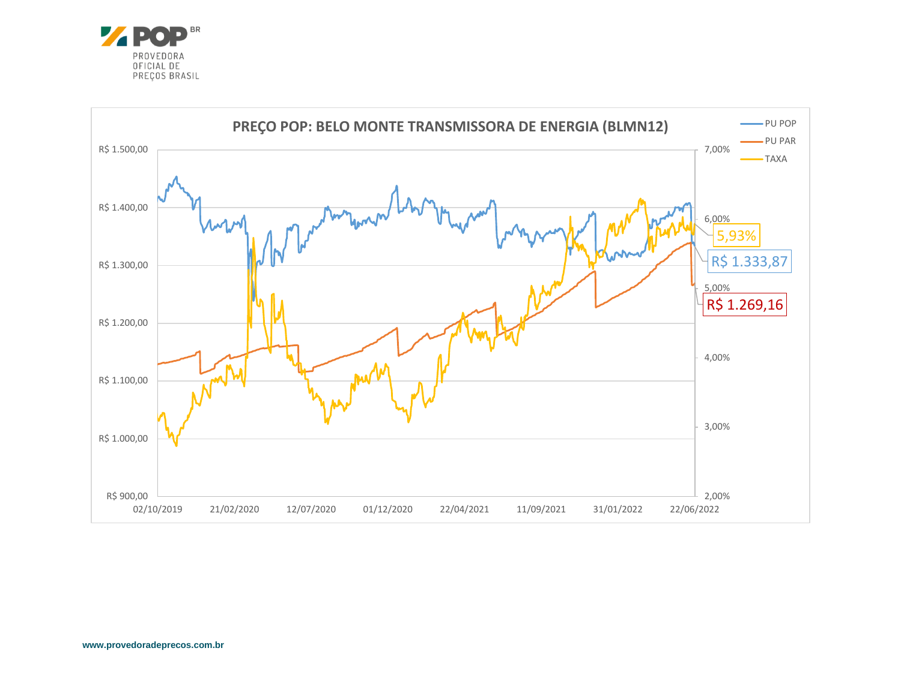

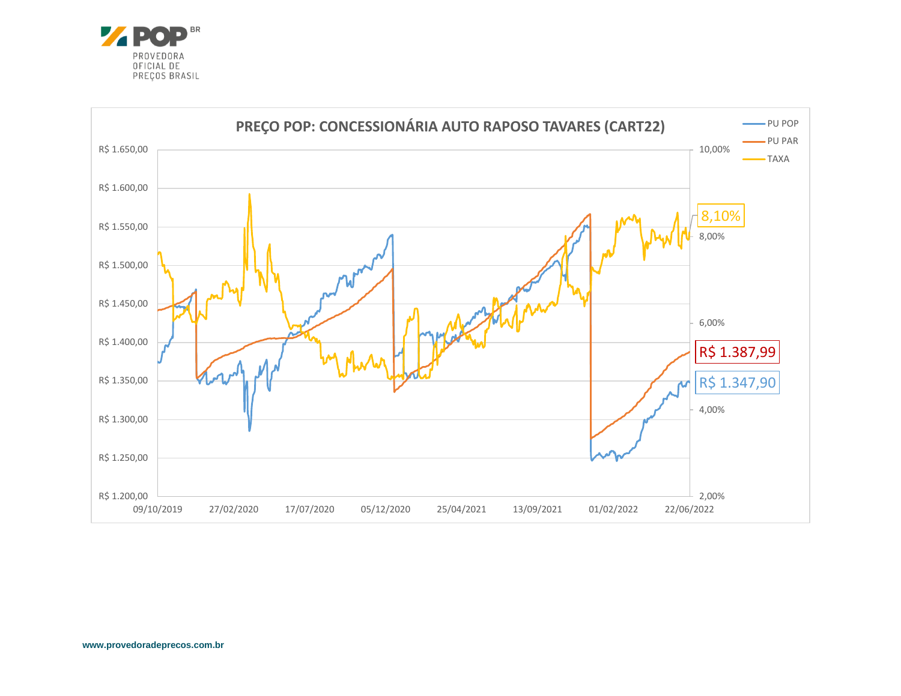

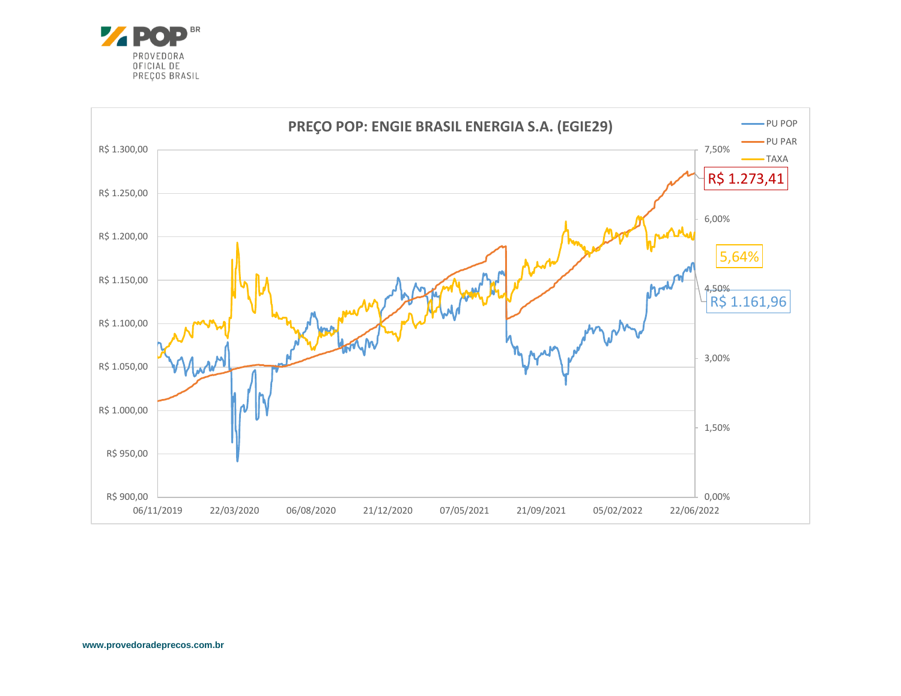

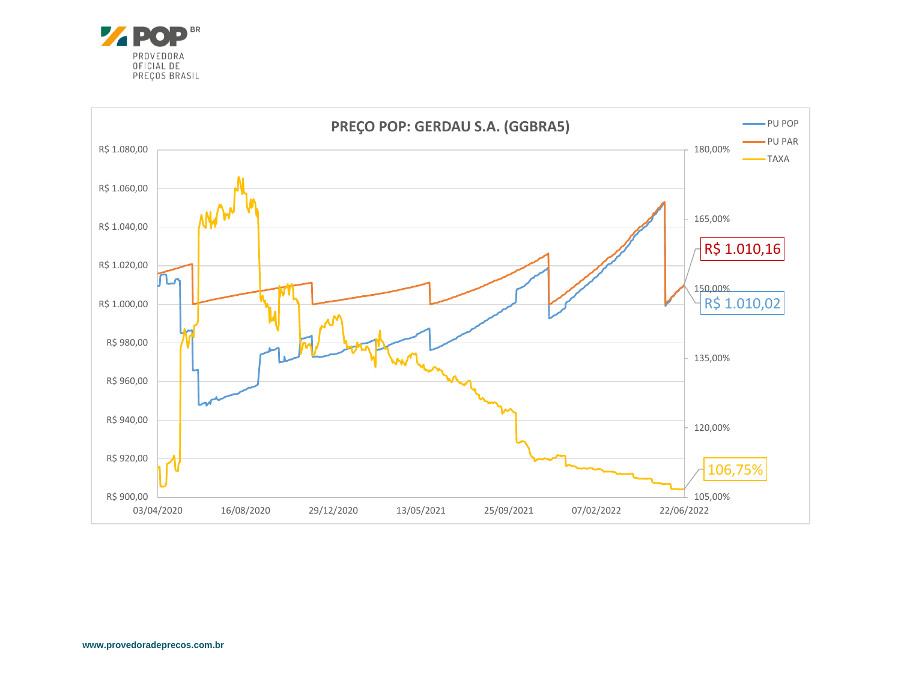

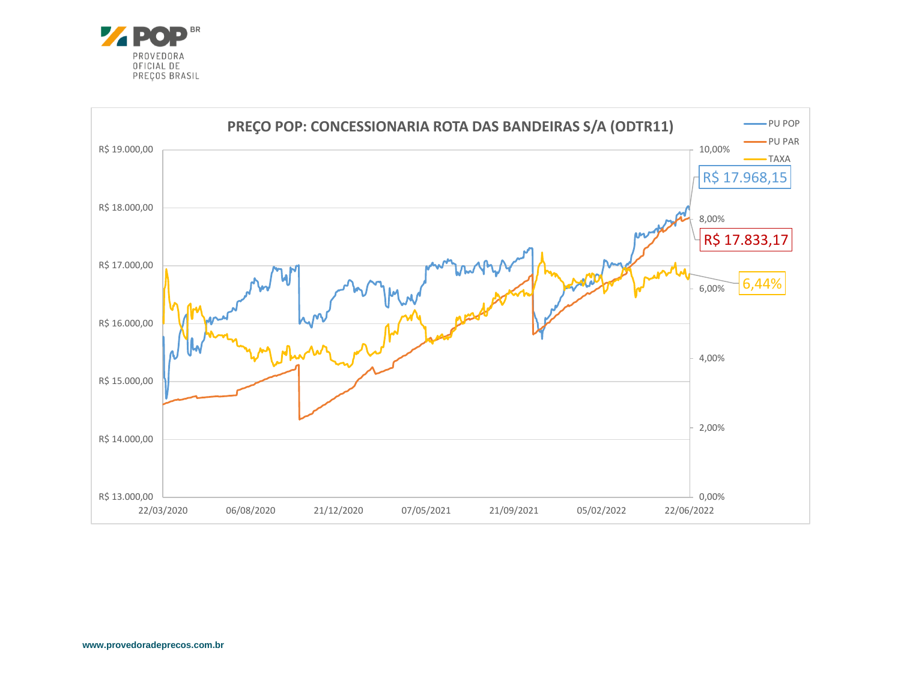

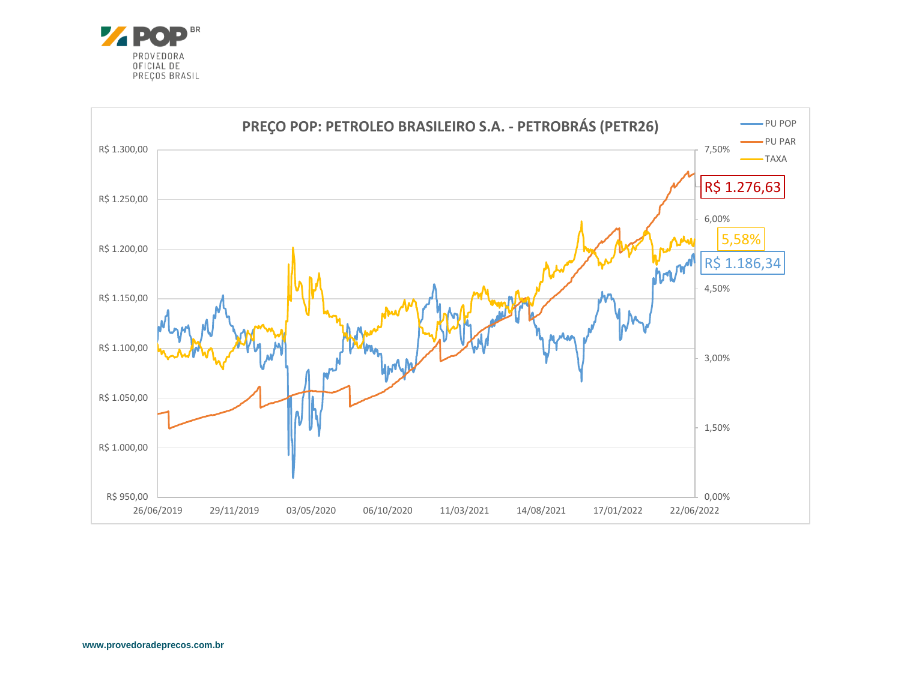

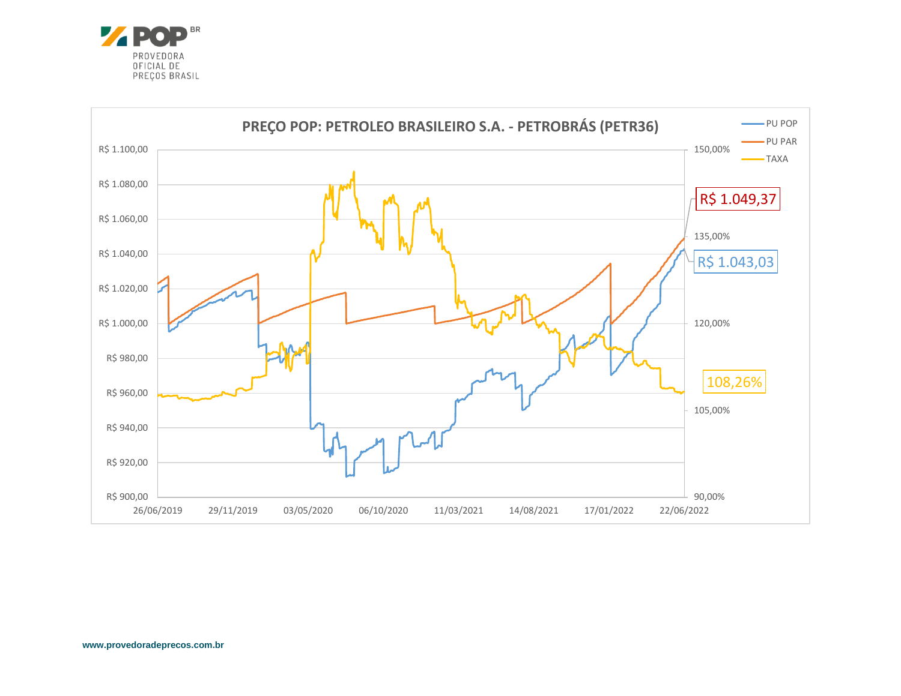

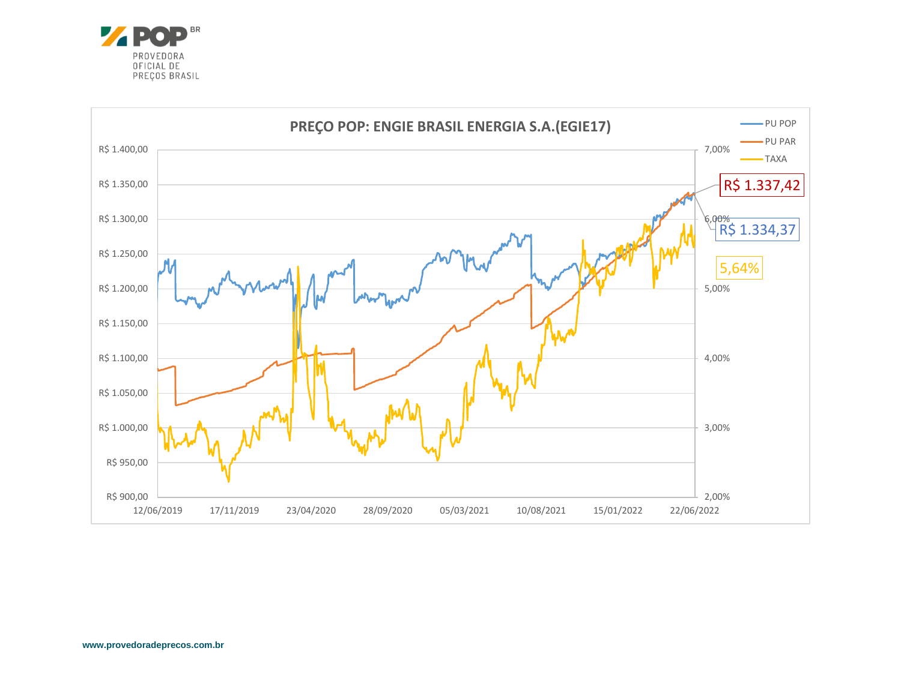

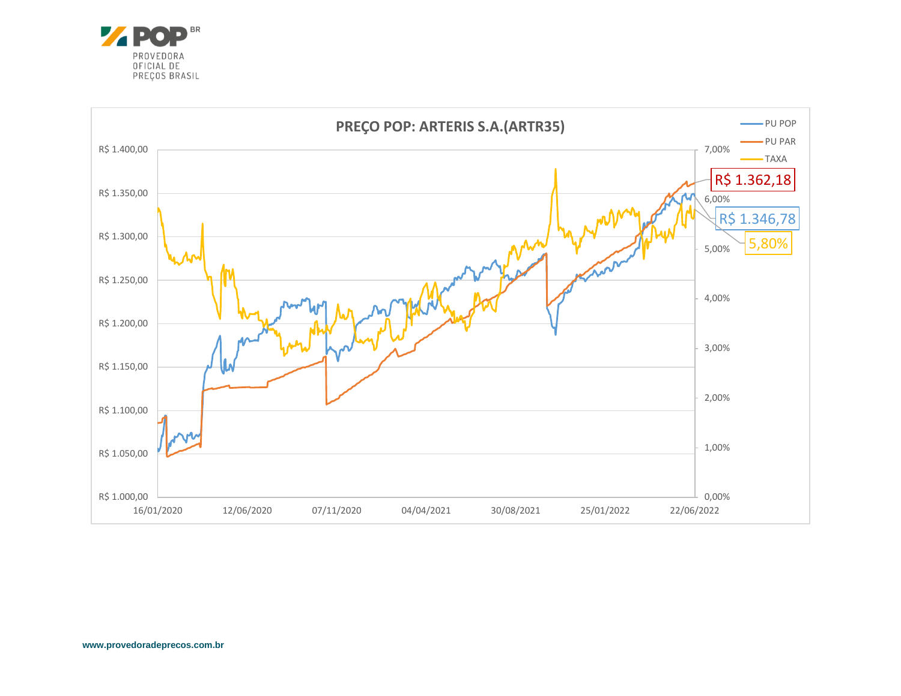

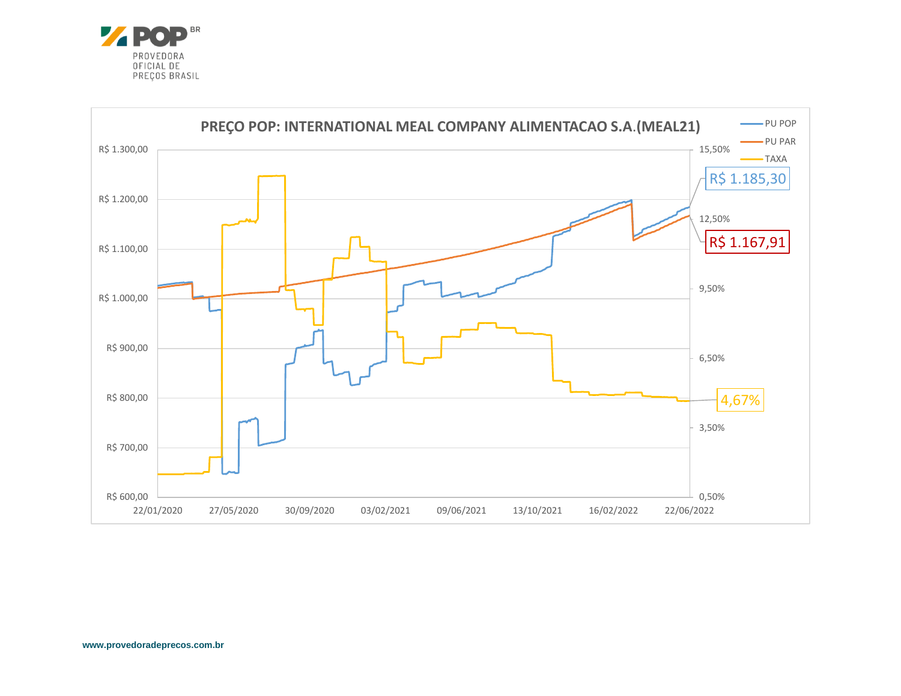

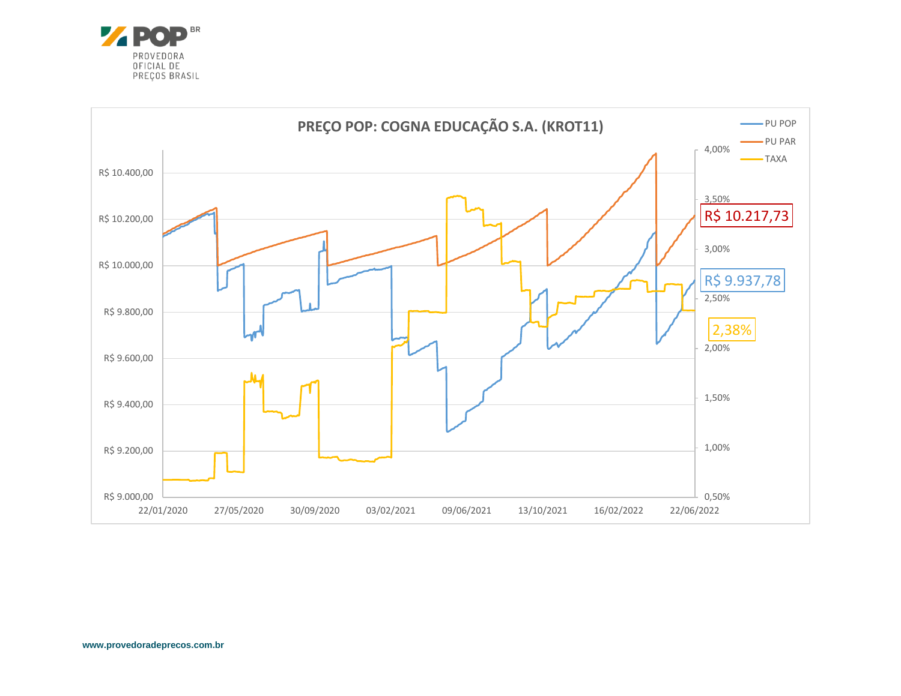

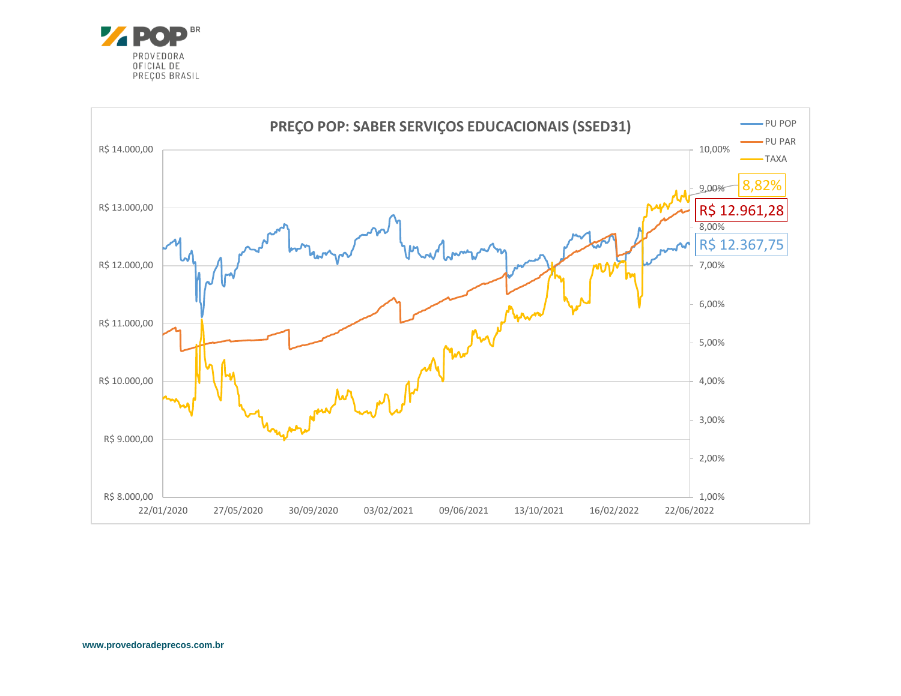

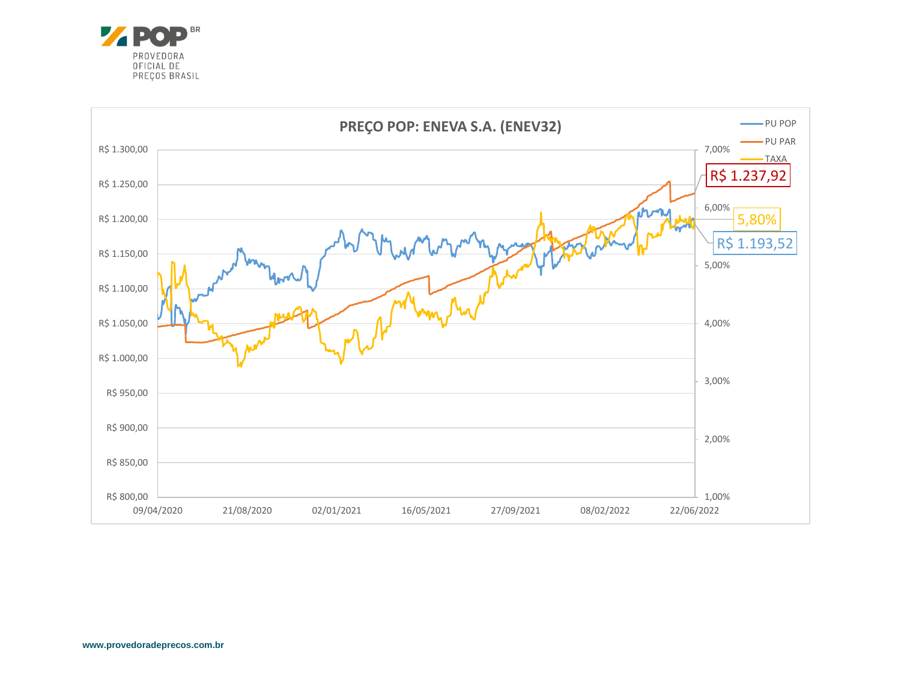

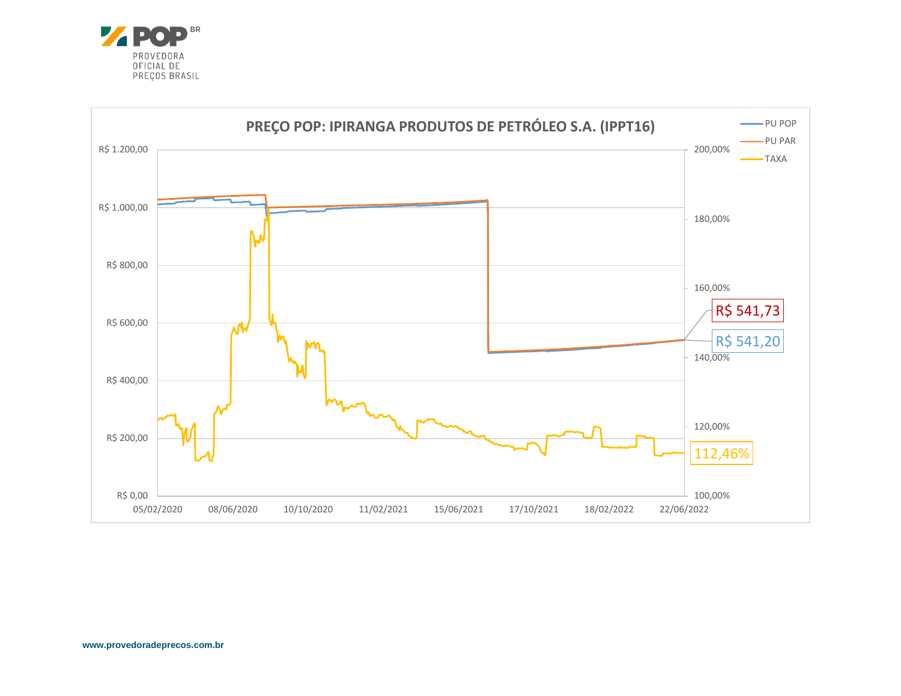

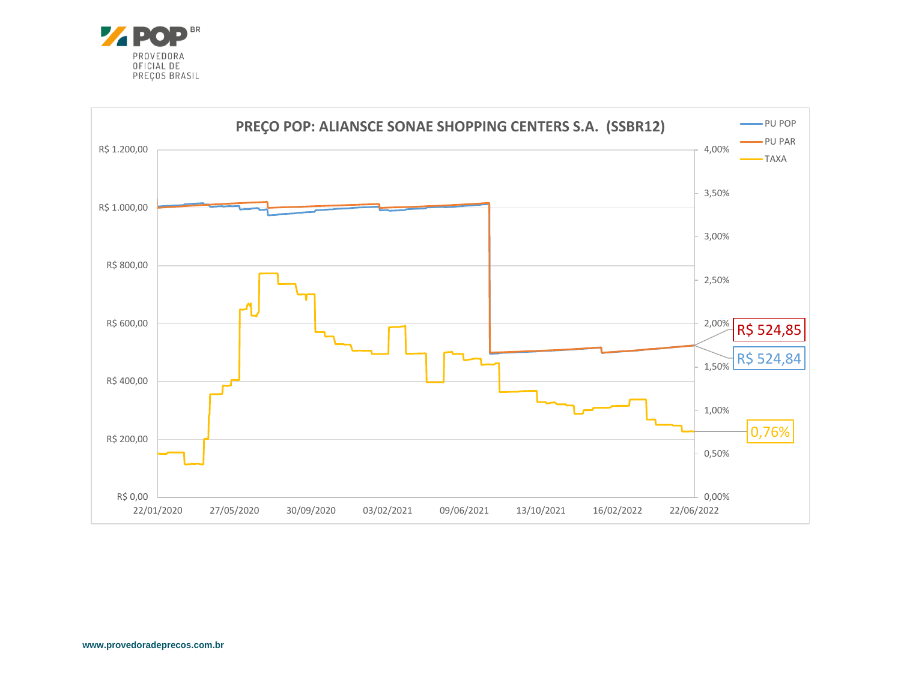

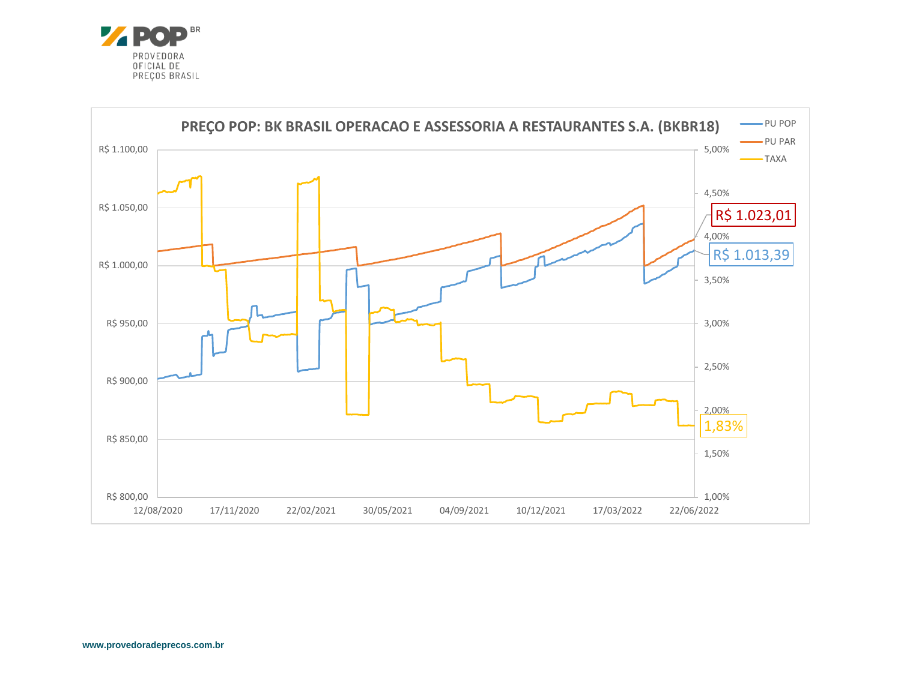

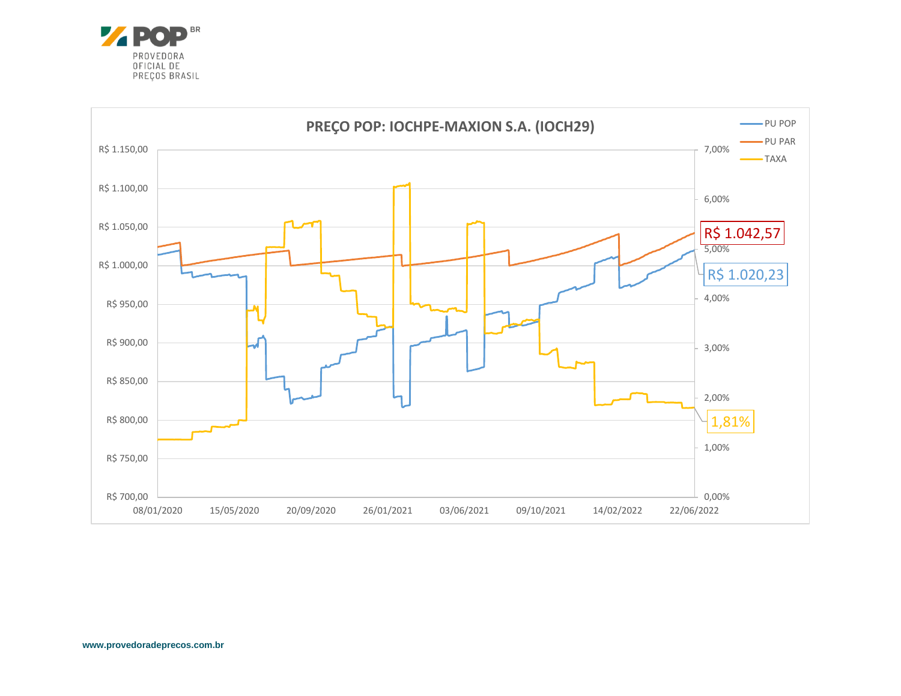

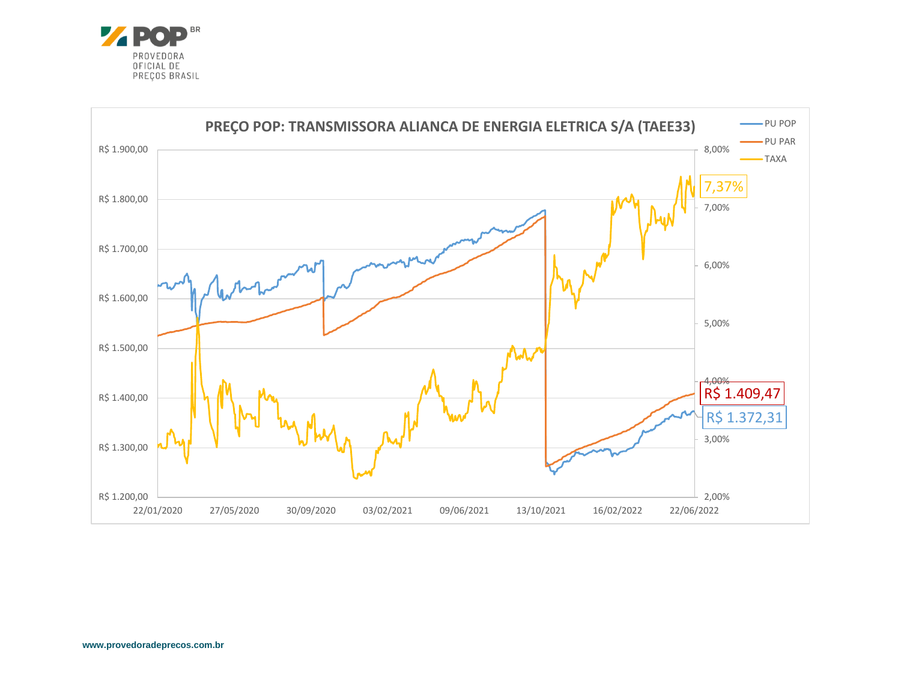

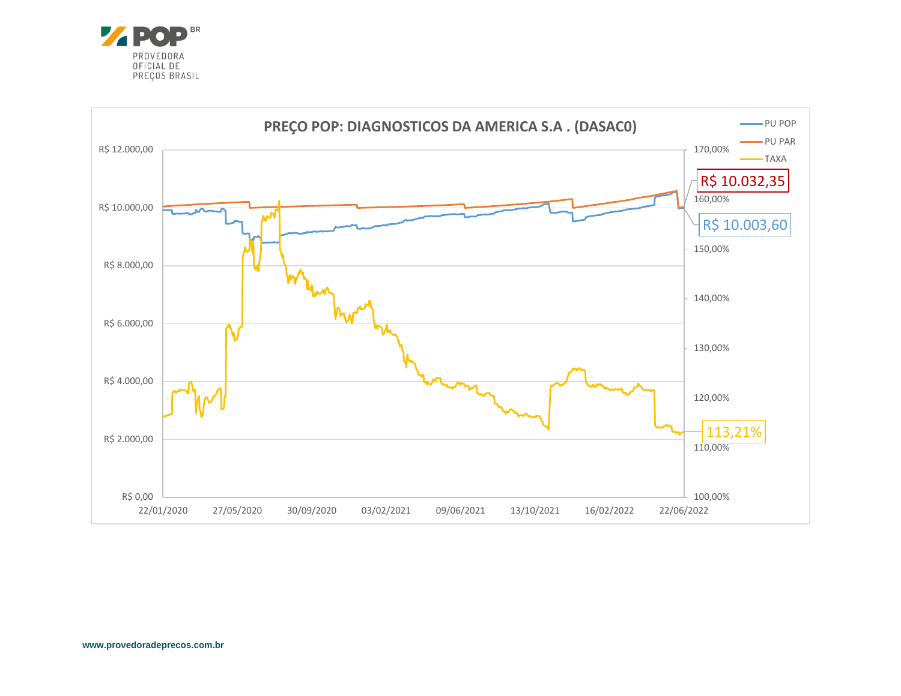

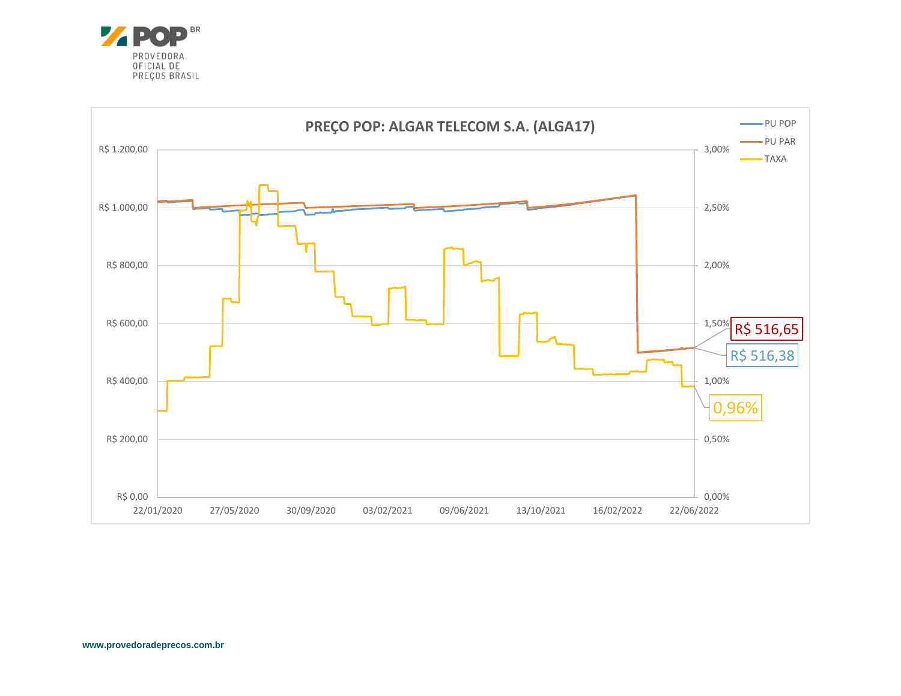

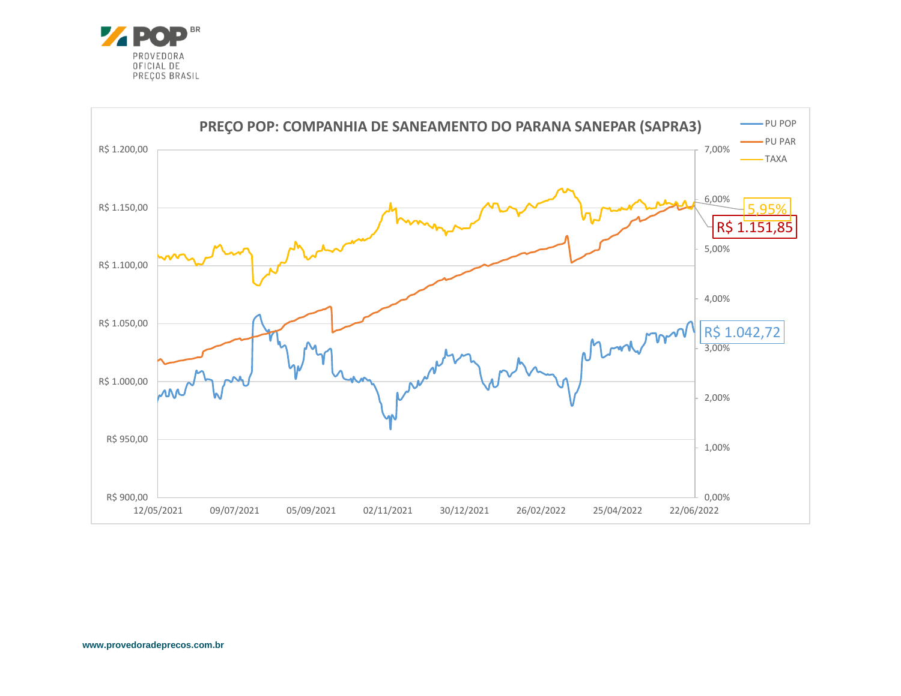

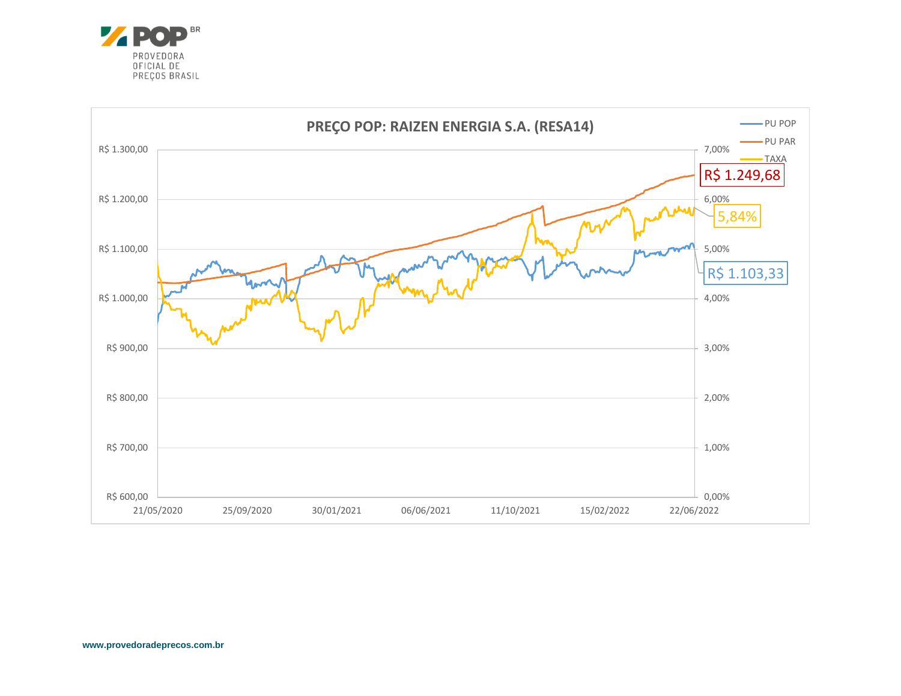

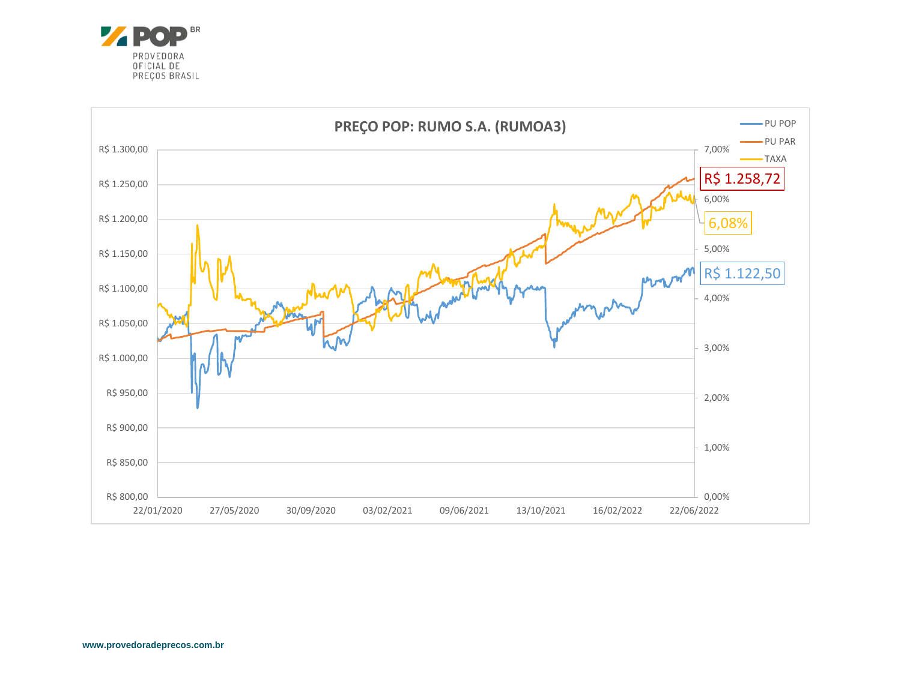